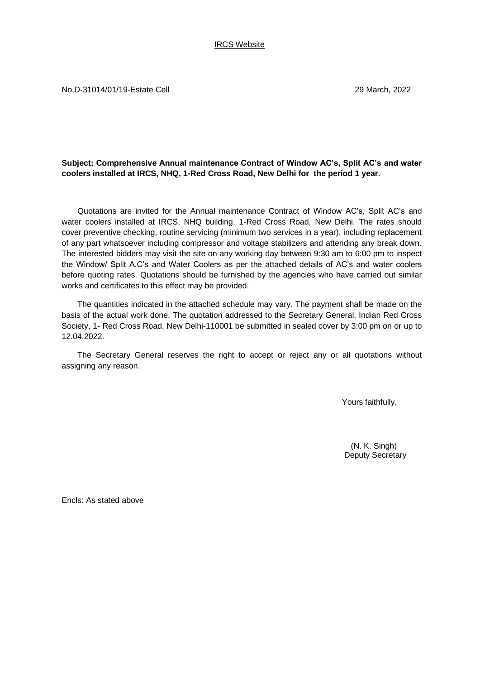## **Subject: Comprehensive Annual maintenance Contract of Window AC's, Split AC's and water coolers installed at IRCS, NHQ, 1-Red Cross Road, New Delhi for the period 1 year.**

 Quotations are invited for the Annual maintenance Contract of Window AC's, Split AC's and water coolers installed at IRCS, NHQ building, 1-Red Cross Road, New Delhi. The rates should cover preventive checking, routine servicing (minimum two services in a year), including replacement of any part whatsoever including compressor and voltage stabilizers and attending any break down. The interested bidders may visit the site on any working day between 9:30 am to 6:00 pm to inspect the Window/ Split A.C's and Water Coolers as per the attached details of AC's and water coolers before quoting rates. Quotations should be furnished by the agencies who have carried out similar works and certificates to this effect may be provided.

 The quantities indicated in the attached schedule may vary. The payment shall be made on the basis of the actual work done. The quotation addressed to the Secretary General, Indian Red Cross Society, 1- Red Cross Road, New Delhi-110001 be submitted in sealed cover by 3:00 pm on or up to 12.04.2022.

 The Secretary General reserves the right to accept or reject any or all quotations without assigning any reason.

Yours faithfully,

 (N. K. Singh) Deputy Secretary

Encls: As stated above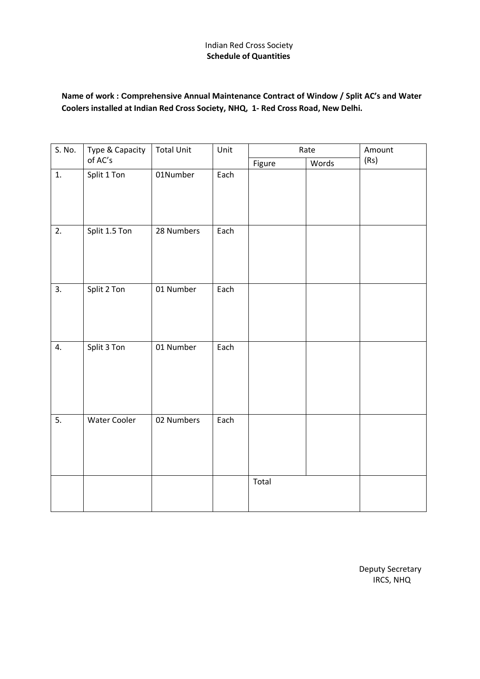## Indian Red Cross Society **Schedule of Quantities**

## **Name of work : Comprehensive Annual Maintenance Contract of Window / Split AC's and Water Coolers installed at Indian Red Cross Society, NHQ, 1- Red Cross Road, New Delhi.**

| S. No. | Type & Capacity<br>of AC's | <b>Total Unit</b> | Unit | Rate   |       | Amount |
|--------|----------------------------|-------------------|------|--------|-------|--------|
|        |                            |                   |      | Figure | Words | (Rs)   |
| 1.     | Split 1 Ton                | 01Number          | Each |        |       |        |
| 2.     | Split 1.5 Ton              | 28 Numbers        | Each |        |       |        |
| 3.     | Split 2 Ton                | 01 Number         | Each |        |       |        |
| 4.     | Split 3 Ton                | 01 Number         | Each |        |       |        |
| 5.     | <b>Water Cooler</b>        | 02 Numbers        | Each |        |       |        |
|        |                            |                   |      | Total  |       |        |

 Deputy Secretary IRCS, NHQ